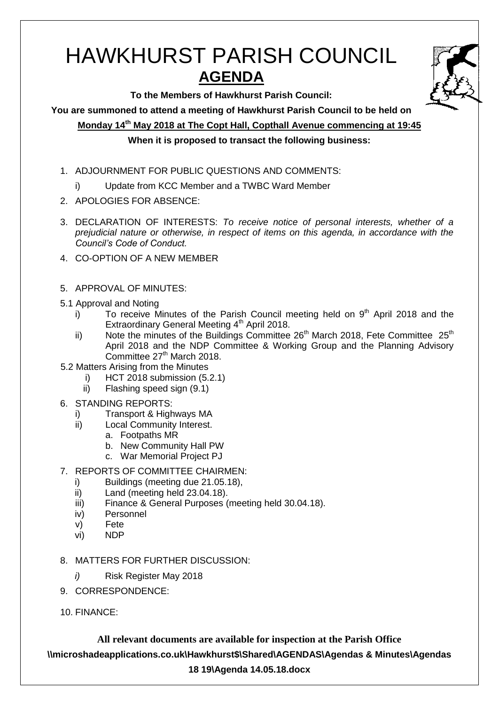# HAWKHURST PARISH COUNCIL **AGENDA**



**To the Members of Hawkhurst Parish Council:**

**You are summoned to attend a meeting of Hawkhurst Parish Council to be held on**

**Monday 14th May 2018 at The Copt Hall, Copthall Avenue commencing at 19:45**

# **When it is proposed to transact the following business:**

- 1. ADJOURNMENT FOR PUBLIC QUESTIONS AND COMMENTS:
	- i) Update from KCC Member and a TWBC Ward Member
- 2. APOLOGIES FOR ABSENCE:
- 3. DECLARATION OF INTERESTS: *To receive notice of personal interests, whether of a prejudicial nature or otherwise, in respect of items on this agenda, in accordance with the Council's Code of Conduct.*
- 4. CO-OPTION OF A NEW MEMBER
- 5. APPROVAL OF MINUTES:
- 5.1 Approval and Noting
	- i) To receive Minutes of the Parish Council meeting held on  $9<sup>th</sup>$  April 2018 and the Extraordinary General Meeting 4<sup>th</sup> April 2018.
	- ii) Note the minutes of the Buildings Committee  $26<sup>th</sup>$  March 2018, Fete Committee  $25<sup>th</sup>$ April 2018 and the NDP Committee & Working Group and the Planning Advisory Committee 27<sup>th</sup> March 2018.
- 5.2 Matters Arising from the Minutes
	- i) HCT 2018 submission (5.2.1)
	- ii) Flashing speed sign (9.1)
- 6. STANDING REPORTS:
	- i) Transport & Highways MA
	- ii) Local Community Interest.
		- a. Footpaths MR
			- b. New Community Hall PW
			- c. War Memorial Project PJ
- 7. REPORTS OF COMMITTEE CHAIRMEN:
	- i) Buildings (meeting due 21.05.18),
	- ii) Land (meeting held 23.04.18).
	- iii) Finance & General Purposes (meeting held 30.04.18).
	- iv) Personnel
	- v) Fete
	- vi) NDP
- 8. MATTERS FOR FURTHER DISCUSSION:
	- *i)* Risk Register May 2018
- 9. CORRESPONDENCE:
- 10. FINANCE: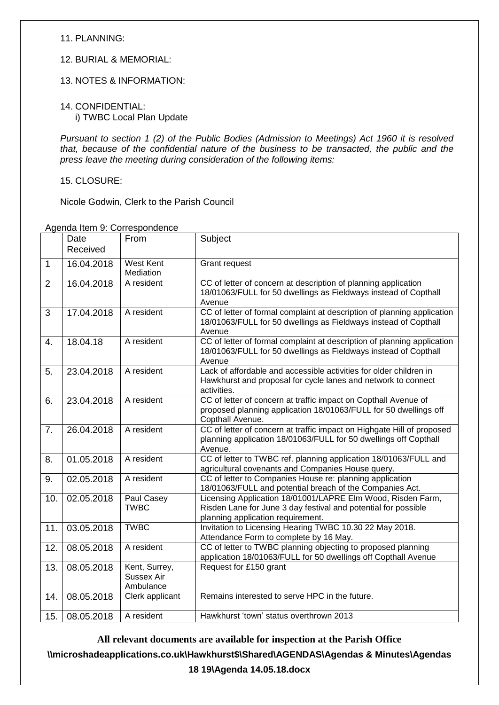#### 11. PLANNING:

## 12. BURIAL & MEMORIAL:

## 13. NOTES & INFORMATION:

#### 14. CONFIDENTIAL: i) TWBC Local Plan Update

*Pursuant to section 1 (2) of the Public Bodies (Admission to Meetings) Act 1960 it is resolved that, because of the confidential nature of the business to be transacted, the public and the press leave the meeting during consideration of the following items:*

15. CLOSURE:

Nicole Godwin, Clerk to the Parish Council

|                | Date<br>Received | From                                     | Subject                                                                                                                                                            |
|----------------|------------------|------------------------------------------|--------------------------------------------------------------------------------------------------------------------------------------------------------------------|
| $\mathbf{1}$   | 16.04.2018       | <b>West Kent</b><br>Mediation            | Grant request                                                                                                                                                      |
| $\overline{2}$ | 16.04.2018       | A resident                               | CC of letter of concern at description of planning application<br>18/01063/FULL for 50 dwellings as Fieldways instead of Copthall<br>Avenue                        |
| 3              | 17.04.2018       | A resident                               | CC of letter of formal complaint at description of planning application<br>18/01063/FULL for 50 dwellings as Fieldways instead of Copthall<br>Avenue               |
| 4.             | 18.04.18         | A resident                               | CC of letter of formal complaint at description of planning application<br>18/01063/FULL for 50 dwellings as Fieldways instead of Copthall<br>Avenue               |
| 5.             | 23.04.2018       | A resident                               | Lack of affordable and accessible activities for older children in<br>Hawkhurst and proposal for cycle lanes and network to connect<br>activities.                 |
| 6.             | 23.04.2018       | A resident                               | CC of letter of concern at traffic impact on Copthall Avenue of<br>proposed planning application 18/01063/FULL for 50 dwellings off<br>Copthall Avenue.            |
| 7 <sub>1</sub> | 26.04.2018       | A resident                               | CC of letter of concern at traffic impact on Highgate Hill of proposed<br>planning application 18/01063/FULL for 50 dwellings off Copthall<br>Avenue.              |
| 8.             | 01.05.2018       | A resident                               | CC of letter to TWBC ref. planning application 18/01063/FULL and<br>agricultural covenants and Companies House query.                                              |
| 9.             | 02.05.2018       | A resident                               | CC of letter to Companies House re: planning application<br>18/01063/FULL and potential breach of the Companies Act.                                               |
| 10.            | 02.05.2018       | Paul Casey<br><b>TWBC</b>                | Licensing Application 18/01001/LAPRE Elm Wood, Risden Farm,<br>Risden Lane for June 3 day festival and potential for possible<br>planning application requirement. |
| 11.            | 03.05.2018       | <b>TWBC</b>                              | Invitation to Licensing Hearing TWBC 10.30 22 May 2018.<br>Attendance Form to complete by 16 May.                                                                  |
| 12.            | 08.05.2018       | A resident                               | CC of letter to TWBC planning objecting to proposed planning<br>application 18/01063/FULL for 50 dwellings off Copthall Avenue                                     |
| 13.            | 08.05.2018       | Kent, Surrey,<br>Sussex Air<br>Ambulance | Request for £150 grant                                                                                                                                             |
| 14.            | 08.05.2018       | Clerk applicant                          | Remains interested to serve HPC in the future.                                                                                                                     |
| 15.            | 08.05.2018       | A resident                               | Hawkhurst 'town' status overthrown 2013                                                                                                                            |

Agenda Item 9: Correspondence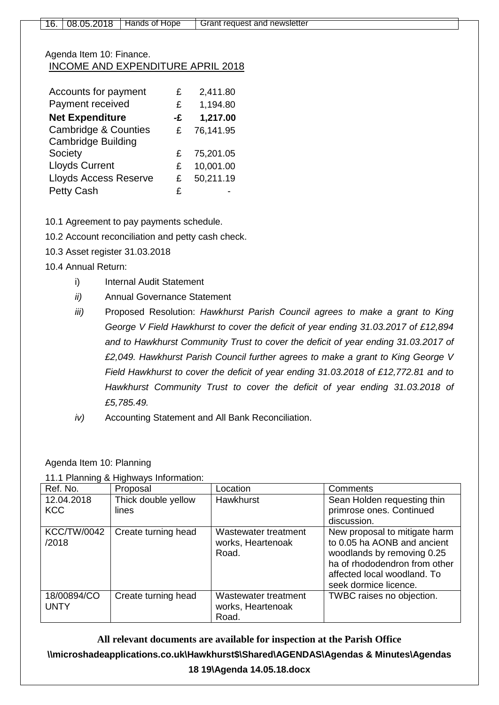## Agenda Item 10: Finance. INCOME AND EXPENDITURE APRIL 2018

| Accounts for payment            | £  | 2,411.80  |
|---------------------------------|----|-----------|
| Payment received                | £  | 1,194.80  |
| <b>Net Expenditure</b>          | -£ | 1,217.00  |
| <b>Cambridge &amp; Counties</b> | £  | 76,141.95 |
| <b>Cambridge Building</b>       |    |           |
| Society                         | £  | 75,201.05 |
| <b>Lloyds Current</b>           | £  | 10,001.00 |
| <b>Lloyds Access Reserve</b>    | £  | 50,211.19 |
| <b>Petty Cash</b>               | £  |           |

10.1 Agreement to pay payments schedule.

10.2 Account reconciliation and petty cash check.

- 10.3 Asset register 31.03.2018
- 10.4 Annual Return:
	- i) Internal Audit Statement
	- *ii)* Annual Governance Statement
	- *iii)* Proposed Resolution: *Hawkhurst Parish Council agrees to make a grant to King George V Field Hawkhurst to cover the deficit of year ending 31.03.2017 of £12,894 and to Hawkhurst Community Trust to cover the deficit of year ending 31.03.2017 of £2,049. Hawkhurst Parish Council further agrees to make a grant to King George V Field Hawkhurst to cover the deficit of year ending 31.03.2018 of £12,772.81 and to Hawkhurst Community Trust to cover the deficit of year ending 31.03.2018 of £5,785.49.*
	- *iv)* Accounting Statement and All Bank Reconciliation.

#### Agenda Item 10: Planning

|  |  | 11.1 Planning & Highways Information: |
|--|--|---------------------------------------|
|  |  |                                       |

| Ref. No.                    | Proposal                     | Location                                           | <b>Comments</b>                                                                                                                                                                     |
|-----------------------------|------------------------------|----------------------------------------------------|-------------------------------------------------------------------------------------------------------------------------------------------------------------------------------------|
| 12.04.2018<br><b>KCC</b>    | Thick double yellow<br>lines | Hawkhurst                                          | Sean Holden requesting thin<br>primrose ones. Continued<br>discussion.                                                                                                              |
| <b>KCC/TW/0042</b><br>/2018 | Create turning head          | Wastewater treatment<br>works, Heartenoak<br>Road. | New proposal to mitigate harm<br>to 0.05 ha AONB and ancient<br>woodlands by removing 0.25<br>ha of rhododendron from other<br>affected local woodland. To<br>seek dormice licence. |
| 18/00894/CO<br><b>UNTY</b>  | Create turning head          | Wastewater treatment<br>works, Heartenoak<br>Road. | TWBC raises no objection.                                                                                                                                                           |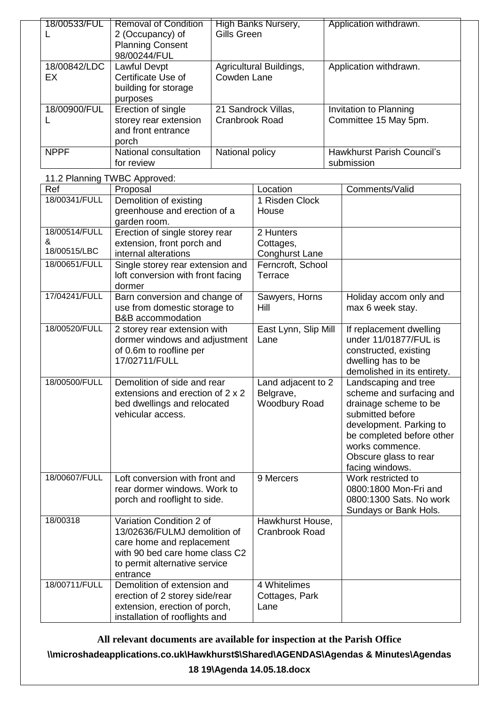| 18/00533/FUL       | <b>Removal of Condition</b><br>2 (Occupancy) of<br><b>Planning Consent</b><br>98/00244/FUL | High Banks Nursery,<br>Gills Green     | Application withdrawn.                          |
|--------------------|--------------------------------------------------------------------------------------------|----------------------------------------|-------------------------------------------------|
| 18/00842/LDC<br>EX | Lawful Devpt<br>Certificate Use of<br>building for storage<br>purposes                     | Agricultural Buildings,<br>Cowden Lane | Application withdrawn.                          |
| 18/00900/FUL       | Erection of single<br>storey rear extension<br>and front entrance<br>porch                 | 21 Sandrock Villas,<br>Cranbrook Road  | Invitation to Planning<br>Committee 15 May 5pm. |
| <b>NPPF</b>        | National consultation<br>for review                                                        | National policy                        | Hawkhurst Parish Council's<br>submission        |

11.2 Planning TWBC Approved:

| Ref           | Proposal                          | Location              | Comments/Valid              |
|---------------|-----------------------------------|-----------------------|-----------------------------|
| 18/00341/FULL | Demolition of existing            | 1 Risden Clock        |                             |
|               | greenhouse and erection of a      | House                 |                             |
|               | garden room.                      |                       |                             |
| 18/00514/FULL | Erection of single storey rear    | 2 Hunters             |                             |
| &             | extension, front porch and        | Cottages,             |                             |
| 18/00515/LBC  | internal alterations              | <b>Conghurst Lane</b> |                             |
| 18/00651/FULL | Single storey rear extension and  | Ferncroft, School     |                             |
|               | loft conversion with front facing | Terrace               |                             |
|               | dormer                            |                       |                             |
| 17/04241/FULL | Barn conversion and change of     | Sawyers, Horns        | Holiday accom only and      |
|               | use from domestic storage to      | Hill                  | max 6 week stay.            |
|               | <b>B&amp;B</b> accommodation      |                       |                             |
| 18/00520/FULL | 2 storey rear extension with      | East Lynn, Slip Mill  | If replacement dwelling     |
|               | dormer windows and adjustment     | Lane                  | under 11/01877/FUL is       |
|               | of 0.6m to roofline per           |                       | constructed, existing       |
|               | 17/02711/FULL                     |                       | dwelling has to be          |
|               |                                   |                       | demolished in its entirety. |
| 18/00500/FULL | Demolition of side and rear       | Land adjacent to 2    | Landscaping and tree        |
|               | extensions and erection of 2 x 2  | Belgrave,             | scheme and surfacing and    |
|               | bed dwellings and relocated       | <b>Woodbury Road</b>  | drainage scheme to be       |
|               | vehicular access.                 |                       | submitted before            |
|               |                                   |                       | development. Parking to     |
|               |                                   |                       | be completed before other   |
|               |                                   |                       | works commence.             |
|               |                                   |                       | Obscure glass to rear       |
|               |                                   |                       | facing windows.             |
| 18/00607/FULL | Loft conversion with front and    | 9 Mercers             | Work restricted to          |
|               | rear dormer windows. Work to      |                       | 0800:1800 Mon-Fri and       |
|               | porch and rooflight to side.      |                       | 0800:1300 Sats. No work     |
|               |                                   |                       | Sundays or Bank Hols.       |
| 18/00318      | Variation Condition 2 of          | Hawkhurst House,      |                             |
|               | 13/02636/FULMJ demolition of      | Cranbrook Road        |                             |
|               | care home and replacement         |                       |                             |
|               | with 90 bed care home class C2    |                       |                             |
|               | to permit alternative service     |                       |                             |
|               | entrance                          |                       |                             |
| 18/00711/FULL | Demolition of extension and       | 4 Whitelimes          |                             |
|               | erection of 2 storey side/rear    | Cottages, Park        |                             |
|               | extension, erection of porch,     | Lane                  |                             |
|               | installation of rooflights and    |                       |                             |

**All relevant documents are available for inspection at the Parish Office**

**\\microshadeapplications.co.uk\Hawkhurst\$\Shared\AGENDAS\Agendas & Minutes\Agendas** 

**18 19\Agenda 14.05.18.docx**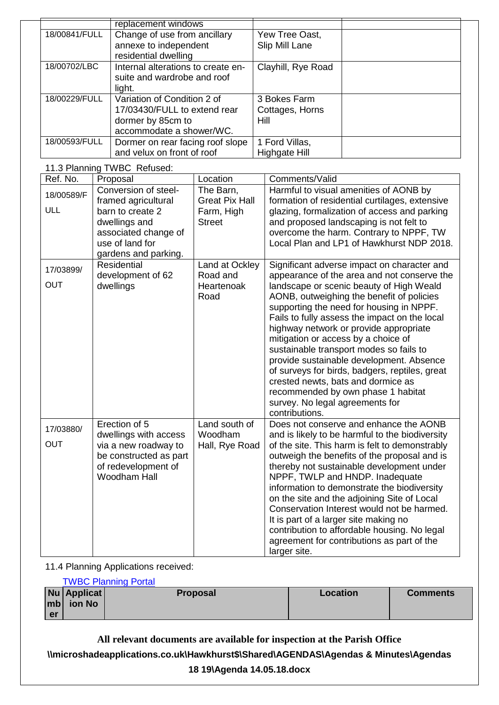|               | replacement windows                |                    |  |
|---------------|------------------------------------|--------------------|--|
| 18/00841/FULL | Change of use from ancillary       | Yew Tree Oast,     |  |
|               | annexe to independent              | Slip Mill Lane     |  |
|               | residential dwelling               |                    |  |
| 18/00702/LBC  | Internal alterations to create en- | Clayhill, Rye Road |  |
|               | suite and wardrobe and roof        |                    |  |
|               | light.                             |                    |  |
| 18/00229/FULL | Variation of Condition 2 of        | 3 Bokes Farm       |  |
|               | 17/03430/FULL to extend rear       | Cottages, Horns    |  |
|               | dormer by 85cm to                  | Hill               |  |
|               | accommodate a shower/WC.           |                    |  |
| 18/00593/FULL | Dormer on rear facing roof slope   | 1 Ford Villas,     |  |
|               | and velux on front of roof         | Highgate Hill      |  |

#### 11.3 Planning TWBC Refused:

| Ref. No.   | Proposal                                       | Location                           | Comments/Valid                                                                                                                                                                                                                                                                                                                                                                                                                                                                                                                                |
|------------|------------------------------------------------|------------------------------------|-----------------------------------------------------------------------------------------------------------------------------------------------------------------------------------------------------------------------------------------------------------------------------------------------------------------------------------------------------------------------------------------------------------------------------------------------------------------------------------------------------------------------------------------------|
| 18/00589/F | Conversion of steel-<br>framed agricultural    | The Barn,<br><b>Great Pix Hall</b> | Harmful to visual amenities of AONB by<br>formation of residential curtilages, extensive                                                                                                                                                                                                                                                                                                                                                                                                                                                      |
| ULL        | barn to create 2                               | Farm, High                         | glazing, formalization of access and parking                                                                                                                                                                                                                                                                                                                                                                                                                                                                                                  |
|            | dwellings and                                  | <b>Street</b>                      | and proposed landscaping is not felt to                                                                                                                                                                                                                                                                                                                                                                                                                                                                                                       |
|            | associated change of                           |                                    | overcome the harm. Contrary to NPPF, TW                                                                                                                                                                                                                                                                                                                                                                                                                                                                                                       |
|            | use of land for                                |                                    | Local Plan and LP1 of Hawkhurst NDP 2018.                                                                                                                                                                                                                                                                                                                                                                                                                                                                                                     |
|            | gardens and parking.                           |                                    |                                                                                                                                                                                                                                                                                                                                                                                                                                                                                                                                               |
| 17/03899/  | Residential                                    | Land at Ockley                     | Significant adverse impact on character and                                                                                                                                                                                                                                                                                                                                                                                                                                                                                                   |
| <b>OUT</b> | development of 62                              | Road and                           | appearance of the area and not conserve the                                                                                                                                                                                                                                                                                                                                                                                                                                                                                                   |
|            | dwellings                                      | Heartenoak<br>Road                 | landscape or scenic beauty of High Weald<br>AONB, outweighing the benefit of policies<br>supporting the need for housing in NPPF.<br>Fails to fully assess the impact on the local<br>highway network or provide appropriate<br>mitigation or access by a choice of<br>sustainable transport modes so fails to<br>provide sustainable development. Absence<br>of surveys for birds, badgers, reptiles, great<br>crested newts, bats and dormice as<br>recommended by own phase 1 habitat<br>survey. No legal agreements for<br>contributions. |
| 17/03880/  | Erection of 5                                  | Land south of                      | Does not conserve and enhance the AONB                                                                                                                                                                                                                                                                                                                                                                                                                                                                                                        |
|            | dwellings with access                          | Woodham                            | and is likely to be harmful to the biodiversity                                                                                                                                                                                                                                                                                                                                                                                                                                                                                               |
| <b>OUT</b> | via a new roadway to<br>be constructed as part | Hall, Rye Road                     | of the site. This harm is felt to demonstrably                                                                                                                                                                                                                                                                                                                                                                                                                                                                                                |
|            | of redevelopment of                            |                                    | outweigh the benefits of the proposal and is<br>thereby not sustainable development under                                                                                                                                                                                                                                                                                                                                                                                                                                                     |
|            | Woodham Hall                                   |                                    | NPPF, TWLP and HNDP. Inadequate                                                                                                                                                                                                                                                                                                                                                                                                                                                                                                               |
|            |                                                |                                    | information to demonstrate the biodiversity                                                                                                                                                                                                                                                                                                                                                                                                                                                                                                   |
|            |                                                |                                    | on the site and the adjoining Site of Local                                                                                                                                                                                                                                                                                                                                                                                                                                                                                                   |
|            |                                                |                                    | Conservation Interest would not be harmed.                                                                                                                                                                                                                                                                                                                                                                                                                                                                                                    |
|            |                                                |                                    | It is part of a larger site making no                                                                                                                                                                                                                                                                                                                                                                                                                                                                                                         |
|            |                                                |                                    | contribution to affordable housing. No legal                                                                                                                                                                                                                                                                                                                                                                                                                                                                                                  |
|            |                                                |                                    | agreement for contributions as part of the                                                                                                                                                                                                                                                                                                                                                                                                                                                                                                    |
|            |                                                |                                    | larger site.                                                                                                                                                                                                                                                                                                                                                                                                                                                                                                                                  |

### 11.4 Planning Applications received:

|           |               | <b>TWBC Planning Portal</b> |          |                 |
|-----------|---------------|-----------------------------|----------|-----------------|
|           | $Nu$ Applicat | <b>Proposal</b>             | Location | <b>Comments</b> |
|           | $ mb $ ion No |                             |          |                 |
| <b>er</b> |               |                             |          |                 |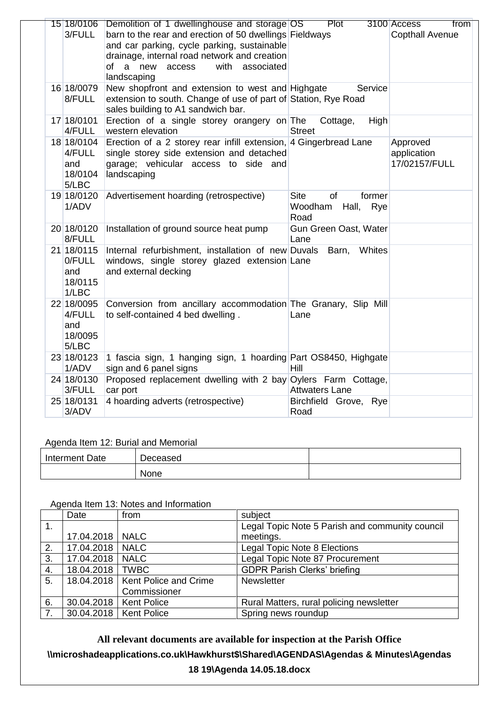| 3/FULL                                          | 15 18/0106 Demolition of 1 dwellinghouse and storage OS Plot<br>barn to the rear and erection of 50 dwellings Fieldways<br>and car parking, cycle parking, sustainable<br>drainage, internal road network and creation<br>with<br>of a new<br>access<br>associated<br>landscaping |                                                                | 3100 Access<br>from<br><b>Copthall Avenue</b> |
|-------------------------------------------------|-----------------------------------------------------------------------------------------------------------------------------------------------------------------------------------------------------------------------------------------------------------------------------------|----------------------------------------------------------------|-----------------------------------------------|
| 16 18/0079<br>8/FULL                            | New shopfront and extension to west and Highgate<br>extension to south. Change of use of part of Station, Rye Road<br>sales building to A1 sandwich bar.                                                                                                                          | Service                                                        |                                               |
| 17 18/0101<br>4/FULL                            | Erection of a single storey orangery on The<br>western elevation                                                                                                                                                                                                                  | Cottage,<br><b>High</b><br><b>Street</b>                       |                                               |
| 18 18/0104<br>4/FULL<br>and<br>18/0104<br>5/LBC | Erection of a 2 storey rear infill extension, 4 Gingerbread Lane<br>single storey side extension and detached<br>garage; vehicular access to side and<br>landscaping                                                                                                              |                                                                | Approved<br>application<br>17/02157/FULL      |
| 19 18/0120<br>1/ADV                             | Advertisement hoarding (retrospective)                                                                                                                                                                                                                                            | <b>Site</b><br>of<br>former<br>Woodham<br>Hall,<br>Rye<br>Road |                                               |
| 20 18/0120<br>8/FULL                            | Installation of ground source heat pump                                                                                                                                                                                                                                           | Gun Green Oast, Water<br>Lane                                  |                                               |
| 21 18/0115<br>0/FULL<br>and<br>18/0115<br>1/LBC | Internal refurbishment, installation of new Duvals<br>windows, single storey glazed extension Lane<br>and external decking                                                                                                                                                        | Whites<br>Barn,                                                |                                               |
| 22 18/0095<br>4/FULL<br>and<br>18/0095<br>5/LBC | Conversion from ancillary accommodation The Granary, Slip Mill<br>to self-contained 4 bed dwelling.                                                                                                                                                                               | Lane                                                           |                                               |
| 23 18/0123<br>1/ADV                             | 1 fascia sign, 1 hanging sign, 1 hoarding Part OS8450, Highgate<br>sign and 6 panel signs                                                                                                                                                                                         | <b>Hill</b>                                                    |                                               |
| 24 18/0130<br>3/FULL                            | Proposed replacement dwelling with 2 bay Oylers Farm Cottage,<br>car port                                                                                                                                                                                                         | <b>Attwaters Lane</b>                                          |                                               |
| 25 18/0131<br>3/ADV                             | 4 hoarding adverts (retrospective)                                                                                                                                                                                                                                                | Birchfield Grove, Rye<br>Road                                  |                                               |

### Agenda Item 12: Burial and Memorial

| Interment Date | Deceased |  |
|----------------|----------|--|
|                | None     |  |

## Agenda Item 13: Notes and Information

|                | Date              | from                               | subject                                         |
|----------------|-------------------|------------------------------------|-------------------------------------------------|
| $\mathbf{1}$ . |                   |                                    | Legal Topic Note 5 Parish and community council |
|                | 17.04.2018   NALC |                                    | meetings.                                       |
| 2.             | 17.04.2018        | <b>NALC</b>                        | Legal Topic Note 8 Elections                    |
| 3.             | 17.04.2018        | <b>NALC</b>                        | Legal Topic Note 87 Procurement                 |
| 4.             | 18.04.2018        | <b>TWBC</b>                        | <b>GDPR Parish Clerks' briefing</b>             |
| 5.             |                   | 18.04.2018   Kent Police and Crime | Newsletter                                      |
|                |                   | Commissioner                       |                                                 |
| 6.             | 30.04.2018        | <b>Kent Police</b>                 | Rural Matters, rural policing newsletter        |
| 7.             |                   | 30.04.2018   Kent Police           | Spring news roundup                             |